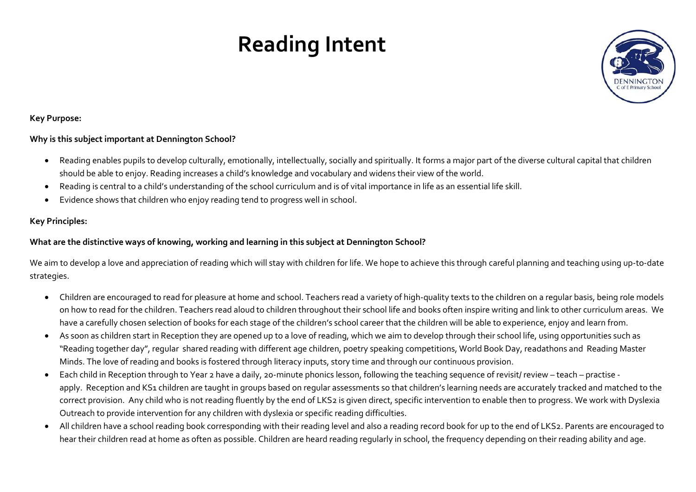# **Reading Intent**



### **Key Purpose:**

## **Why is this subject important at Dennington School?**

- Reading enables pupils to develop culturally, emotionally, intellectually, socially and spiritually. It forms a major part of the diverse cultural capital that children should be able to enjoy. Reading increases a child's knowledge and vocabulary and widens their view of the world.
- Reading is central to a child's understanding of the school curriculum and is of vital importance in life as an essential life skill.
- Evidence shows that children who enjoy reading tend to progress well in school.

## **Key Principles:**

## **What are the distinctive ways of knowing, working and learning in this subject at Dennington School?**

We aim to develop a love and appreciation of reading which will stay with children for life. We hope to achieve this through careful planning and teaching using up-to-date strategies.

- Children are encouraged to read for pleasure at home and school. Teachers read a variety of high-quality texts to the children on a regular basis, being role models on how to read for the children. Teachers read aloud to children throughout their school life and books often inspire writing and link to other curriculum areas. We have a carefully chosen selection of books for each stage of the children's school career that the children will be able to experience, enjoy and learn from.
- As soon as children start in Reception they are opened up to a love of reading, which we aim to develop through their school life, using opportunities such as "Reading together day", regular shared reading with different age children, poetry speaking competitions, World Book Day, readathons and Reading Master Minds. The love of reading and books is fostered through literacy inputs, story time and through our continuous provision.
- Each child in Reception through to Year 2 have a daily, 20-minute phonics lesson, following the teaching sequence of revisit/ review teach practise apply. Reception and KS1 children are taught in groups based on regular assessments so that children's learning needs are accurately tracked and matched to the correct provision. Any child who is not reading fluently by the end of LKS2 is given direct, specific intervention to enable then to progress. We work with Dyslexia Outreach to provide intervention for any children with dyslexia or specific reading difficulties.
- All children have a school reading book corresponding with their reading level and also a reading record book for up to the end of LKS2. Parents are encouraged to hear their children read at home as often as possible. Children are heard reading regularly in school, the frequency depending on their reading ability and age.